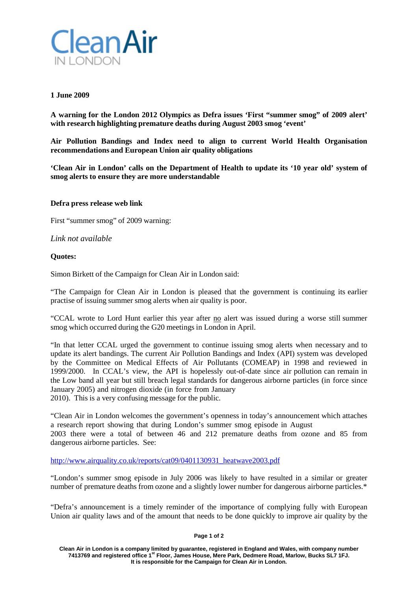

# **1 June 2009**

**A warning for the London 2012 Olympics as Defra issues 'First "summer smog" of 2009 alert' with research highlighting premature deaths during August 2003 smog 'event'**

**Air Pollution Bandings and Index need to align to current World Health Organisation recommendations and European Union air quality obligations**

**'Clean Air in London' calls on the Department of Health to update its '10 year old' system of smog alerts to ensure they are more understandable**

# **Defra press release web link**

First "summer smog" of 2009 warning:

*Link not available* 

# **Quotes:**

Simon Birkett of the Campaign for Clean Air in London said:

"The Campaign for Clean Air in London is pleased that the government is continuing its earlier practise of issuing summer smog alerts when air quality is poor.

"CCAL wrote to Lord Hunt earlier this year after no alert was issued during a worse still summer smog which occurred during the G20 meetings in London in April.

"In that letter CCAL urged the government to continue issuing smog alerts when necessary and to update its alert bandings. The current Air Pollution Bandings and Index (API) system was developed by the Committee on Medical Effects of Air Pollutants (COMEAP) in 1998 and reviewed in 1999/2000. In CCAL's view, the API is hopelessly out-of-date since air pollution can remain in the Low band all year but still breach legal standards for dangerous airborne particles (in force since January 2005) and nitrogen dioxide (in force from January

2010). This is a very confusing message for the public.

"Clean Air in London welcomes the government's openness in today's announcement which attaches a research report showing that during London's summer smog episode in August 2003 there were a total of between 46 and 212 premature deaths from ozone and 85 from dangerous airborne particles. See:

[http://www.airquality.co.uk/reports/cat09/0401130931\\_heatwave2003.pdf](http://www.airquality.co.uk/reports/cat09/0401130931_heatwave2003.pdf)

"London's summer smog episode in July 2006 was likely to have resulted in a similar or greater number of premature deaths from ozone and a slightly lower number for dangerous airborne particles.\*

"Defra's announcement is a timely reminder of the importance of complying fully with European Union air quality laws and of the amount that needs to be done quickly to improve air quality by the

### **Page 1 of 2**

**Clean Air in London is a company limited by guarantee, registered in England and Wales, with company number 7413769 and registered office 1st Floor, James House, Mere Park, Dedmere Road, Marlow, Bucks SL7 1FJ. It is responsible for the Campaign for Clean Air in London.**